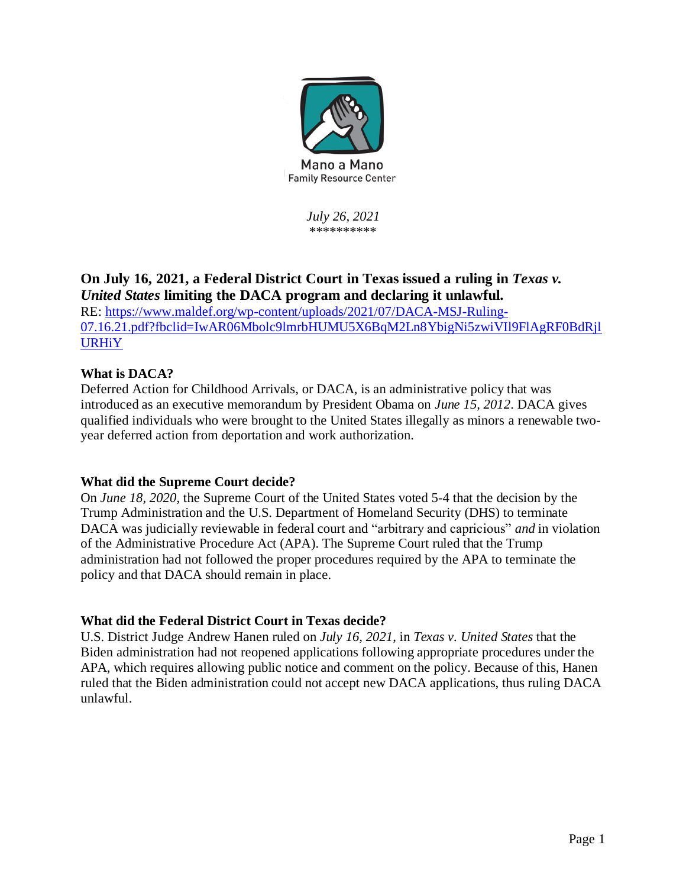

*July 26, 2021* \*\*\*\*\*\*\*\*\*\*

# **On July 16, 2021, a Federal District Court in Texas issued a ruling in** *Texas v. United States* **limiting the DACA program and declaring it unlawful.**

RE: [https://www.maldef.org/wp-content/uploads/2021/07/DACA-MSJ-Ruling-](https://www.maldef.org/wp-content/uploads/2021/07/DACA-MSJ-Ruling-07.16.21.pdf?fbclid=IwAR06Mbolc9lmrbHUMU5X6BqM2Ln8YbigNi5zwiVIl9FlAgRF0BdRjlURHiY)[07.16.21.pdf?fbclid=IwAR06Mbolc9lmrbHUMU5X6BqM2Ln8YbigNi5zwiVIl9FlAgRF0BdRjl](https://www.maldef.org/wp-content/uploads/2021/07/DACA-MSJ-Ruling-07.16.21.pdf?fbclid=IwAR06Mbolc9lmrbHUMU5X6BqM2Ln8YbigNi5zwiVIl9FlAgRF0BdRjlURHiY) [URHiY](https://www.maldef.org/wp-content/uploads/2021/07/DACA-MSJ-Ruling-07.16.21.pdf?fbclid=IwAR06Mbolc9lmrbHUMU5X6BqM2Ln8YbigNi5zwiVIl9FlAgRF0BdRjlURHiY)

# **What is DACA?**

Deferred Action for Childhood Arrivals, or DACA, is an administrative policy that was introduced as an executive memorandum by President Obama on *June 15, 2012*. DACA gives qualified individuals who were brought to the United States illegally as minors a renewable twoyear deferred action from deportation and work authorization.

# **What did the Supreme Court decide?**

On *June 18, 2020*, the Supreme Court of the United States voted 5-4 that the decision by the Trump Administration and the U.S. Department of Homeland Security (DHS) to terminate DACA was judicially reviewable in federal court and "arbitrary and capricious" *and* in violation of the Administrative Procedure Act (APA). The Supreme Court ruled that the Trump administration had not followed the proper procedures required by the APA to terminate the policy and that DACA should remain in place.

# **What did the Federal District Court in Texas decide?**

U.S. District Judge Andrew Hanen ruled on *July 16, 2021*, in *Texas v. United States* that the Biden administration had not reopened applications following appropriate procedures under the APA, which requires allowing public notice and comment on the policy. Because of this, Hanen ruled that the Biden administration could not accept new DACA applications, thus ruling DACA unlawful.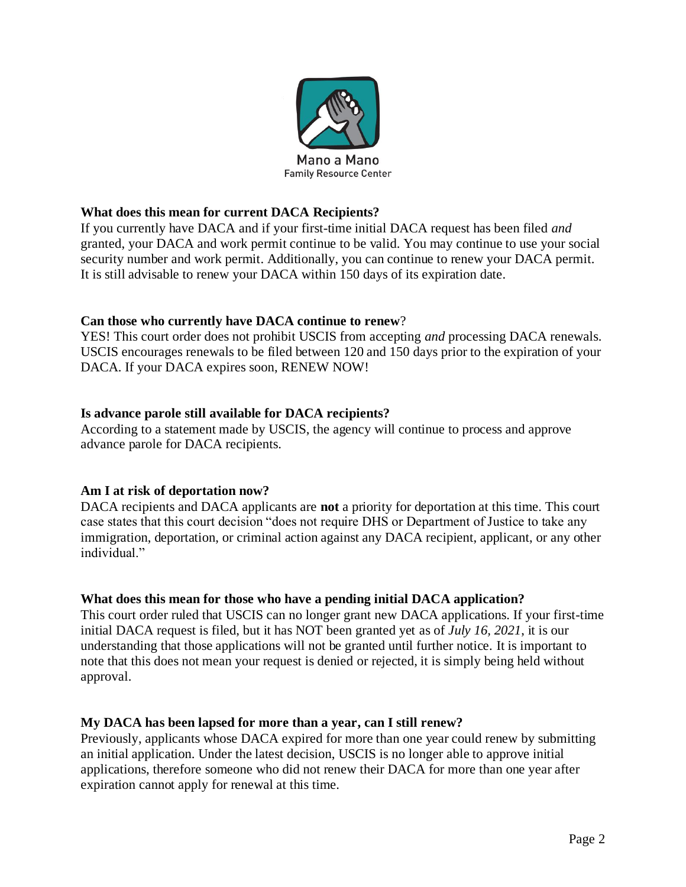

### **What does this mean for current DACA Recipients?**

If you currently have DACA and if your first-time initial DACA request has been filed *and* granted, your DACA and work permit continue to be valid. You may continue to use your social security number and work permit. Additionally, you can continue to renew your DACA permit. It is still advisable to renew your DACA within 150 days of its expiration date.

#### **Can those who currently have DACA continue to renew**?

YES! This court order does not prohibit USCIS from accepting *and* processing DACA renewals. USCIS encourages renewals to be filed between 120 and 150 days prior to the expiration of your DACA. If your DACA expires soon, RENEW NOW!

#### **Is advance parole still available for DACA recipients?**

According to a statement made by USCIS, the agency will continue to process and approve advance parole for DACA recipients.

#### **Am I at risk of deportation now?**

DACA recipients and DACA applicants are **not** a priority for deportation at this time. This court case states that this court decision "does not require DHS or Department of Justice to take any immigration, deportation, or criminal action against any DACA recipient, applicant, or any other individual."

#### **What does this mean for those who have a pending initial DACA application?**

This court order ruled that USCIS can no longer grant new DACA applications. If your first-time initial DACA request is filed, but it has NOT been granted yet as of *July 16, 2021*, it is our understanding that those applications will not be granted until further notice. It is important to note that this does not mean your request is denied or rejected, it is simply being held without approval.

#### **My DACA has been lapsed for more than a year, can I still renew?**

Previously, applicants whose DACA expired for more than one year could renew by submitting an initial application. Under the latest decision, USCIS is no longer able to approve initial applications, therefore someone who did not renew their DACA for more than one year after expiration cannot apply for renewal at this time.